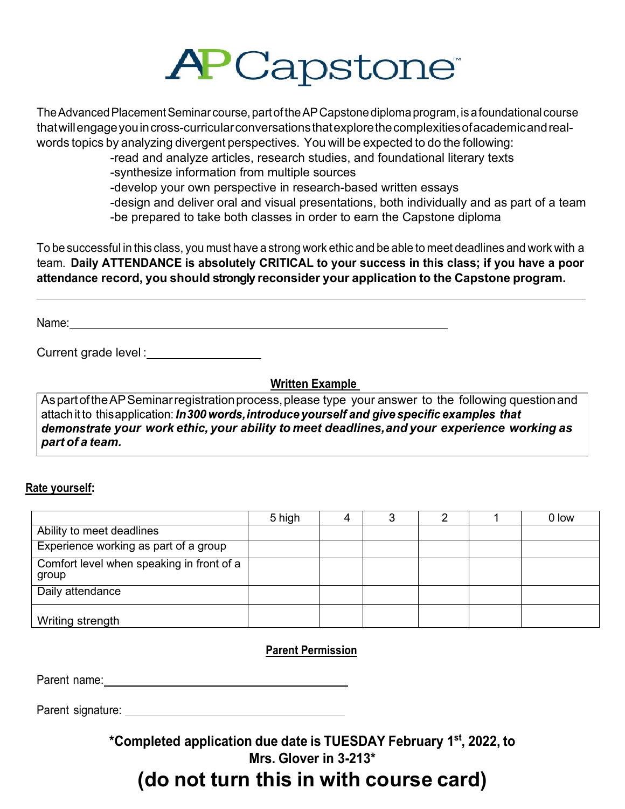

The Advanced Placement Seminar course, part of the AP Capstone diploma program, is a foundational course thatwillengageyouincross-curricularconversationsthatexplorethecomplexitiesofacademicandrealwords topics by analyzing divergent perspectives. You will be expected to do the following:

-read and analyze articles, research studies, and foundational literary texts

-synthesize information from multiple sources

-develop your own perspective in research-based written essays

-design and deliver oral and visual presentations, both individually and as part of a team

-be prepared to take both classes in order to earn the Capstone diploma

To be successful in this class, you must have a strong work ethic and be able to meet deadlines and work with a team. **Daily ATTENDANCE is absolutely CRITICAL to your success in this class; if you have a poor attendance record, you should strongly reconsider your application to the Capstone program.**

Name: Name: 2008. Contract to the contract of the contract of the contract of the contract of the contract of the contract of the contract of the contract of the contract of the contract of the contract of the contract of

Current grade level : \_\_\_\_\_\_\_\_\_\_\_\_\_\_

**Written Example** 

AspartoftheAPSeminarregistrationprocess,please type your answer to the following questionand attach it to this application: In 300 words, introduce yourself and give specific examples that *your work ethic, your ability to meet deadlines,and your experience working as part of a team.*

#### **Rate yourself:**

|                                                    | 5 high |  |  | 0 low |
|----------------------------------------------------|--------|--|--|-------|
| Ability to meet deadlines                          |        |  |  |       |
| Experience working as part of a group              |        |  |  |       |
| Comfort level when speaking in front of a<br>group |        |  |  |       |
| Daily attendance                                   |        |  |  |       |
| Writing strength                                   |        |  |  |       |

**Parent Permission**

Parent name: We have a set of the set of the set of the set of the set of the set of the set of the set of the set of the set of the set of the set of the set of the set of the set of the set of the set of the set of the s

Parent signature:

**\*Completed application due date is TUESDAY February 1st, 2022, to Mrs. Glover in 3-213\***

### **(do not turn this in with course card)**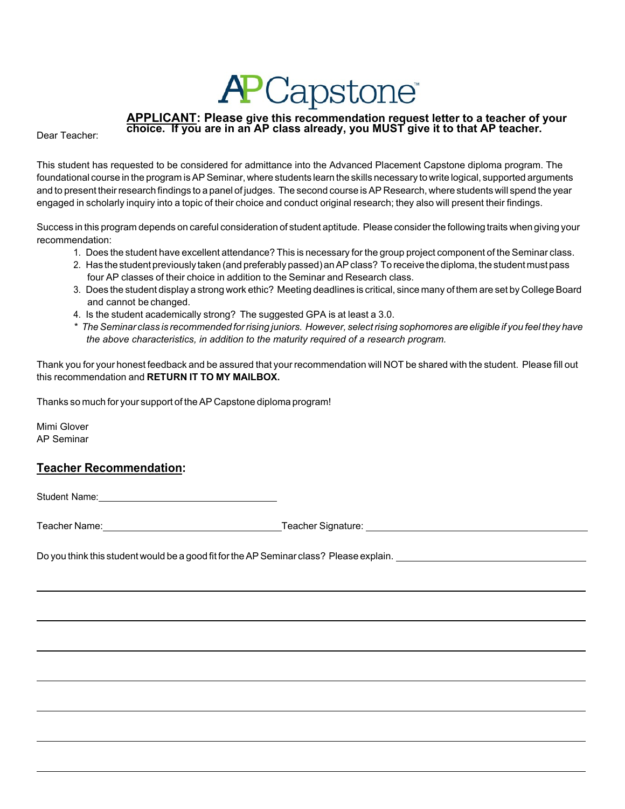# **APCapstone**

## **APPLICANT: Please give this recommendation request letter to a teacher of your choice. If you are in an AP class already, you MUST give it to that AP teacher.**

Dear Teacher:

This student has requested to be considered for admittance into the Advanced Placement Capstone diploma program. The foundational course in the program isAP Seminar, where students learn the skills necessary to write logical, supported arguments and to present their research findings to a panel of judges. The second course is AP Research, where students will spend the year engaged in scholarly inquiry into a topic of their choice and conduct original research; they also will present their findings.

Success in this program depends on careful consideration of student aptitude. Please considerthe following traits when giving your recommendation:

- 1. Does the student have excellent attendance? This is necessary for the group project component of the Seminar class.
- 2. Has the student previously taken (and preferably passed) an AP class? To receive the diploma, the student must pass four AP classes of their choice in addition to the Seminar and Research class.
- 3. Does the student display a strong work ethic? Meeting deadlines is critical, since many of them are set by College Board and cannot be changed.
- 4. Is the student academically strong? The suggested GPA is at least a 3.0.
- \* The Seminar class is recommended for rising juniors. However, select rising sophomores are eligible if you feel they have  *the above characteristics, in addition to the maturity required of a research program.*

Thank you for your honest feedback and be assured that your recommendation will NOT be shared with the student. Please fill out this recommendation and **RETURN IT TO MY MAILBOX.**

Thanks so much for your support of theAP Capstone diploma program!

Mimi Glover AP Seminar

#### **Teacher Recommendation:**

Student Name: **Student Name: Student Name: Student Name: Student Name: Student Name: Student Name: Student Name: Student Name: Student Name: Student Name: Student Name: Student Name: Student Name:**

Teacher Name: Teacher Signature:

Do you think this student would be a good fit fortheAP Seminar class? Please explain.